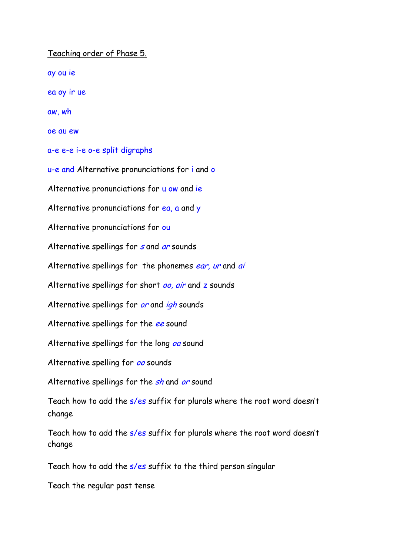Teaching order of Phase 5. ay ou ie ea oy ir ue aw, wh oe au ew a-e e-e i-e o-e split digraphs u-e and Alternative pronunciations for i and o Alternative pronunciations for u ow and ie Alternative pronunciations for ea, a and y Alternative pronunciations for ou Alternative spellings for  $s$  and  $ar$  sounds Alternative spellings for the phonemes ear, ur and ai Alternative spellings for short oo, air and z sounds Alternative spellings for or and igh sounds Alternative spellings for the ee sound Alternative spellings for the long *oa* sound Alternative spelling for oo sounds Alternative spellings for the sh and or sound Teach how to add the s/es suffix for plurals where the root word doesn't change Teach how to add the s/es suffix for plurals where the root word doesn't change

Teach how to add the s/es suffix to the third person singular

Teach the regular past tense